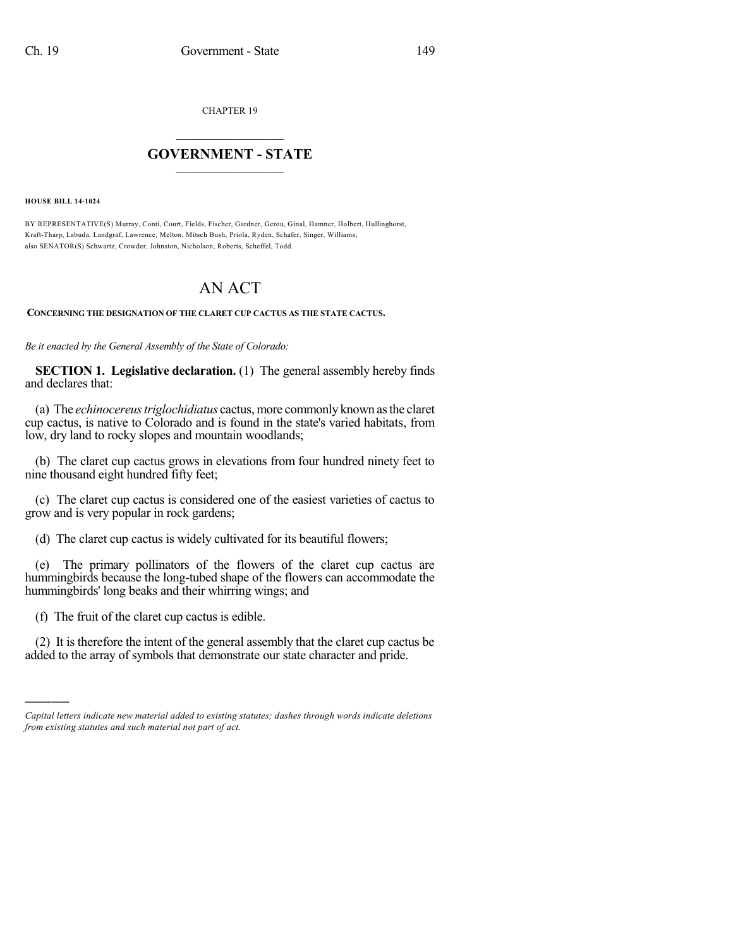CHAPTER 19

## $\mathcal{L}_\text{max}$  . The set of the set of the set of the set of the set of the set of the set of the set of the set of the set of the set of the set of the set of the set of the set of the set of the set of the set of the set **GOVERNMENT - STATE**  $\_$

**HOUSE BILL 14-1024**

)))))

BY REPRESENTATIVE(S) Murray, Conti, Court, Fields, Fischer, Gardner, Gerou, Ginal, Hamner, Holbert, Hullinghorst, Kraft-Tharp, Labuda, Landgraf, Lawrence, Melton, Mitsch Bush, Priola, Ryden, Schafer, Singer, Williams; also SENATOR(S) Schwartz, Crowder, Johnston, Nicholson, Roberts, Scheffel, Todd.

## AN ACT

## **CONCERNING THE DESIGNATION OF THE CLARET CUP CACTUS AS THE STATE CACTUS.**

*Be it enacted by the General Assembly of the State of Colorado:*

**SECTION 1. Legislative declaration.** (1) The general assembly hereby finds and declares that:

(a) The *echinocereustriglochidiatus* cactus, more commonly known asthe claret cup cactus, is native to Colorado and is found in the state's varied habitats, from low, dry land to rocky slopes and mountain woodlands;

(b) The claret cup cactus grows in elevations from four hundred ninety feet to nine thousand eight hundred fifty feet;

(c) The claret cup cactus is considered one of the easiest varieties of cactus to grow and is very popular in rock gardens;

(d) The claret cup cactus is widely cultivated for its beautiful flowers;

(e) The primary pollinators of the flowers of the claret cup cactus are hummingbirds because the long-tubed shape of the flowers can accommodate the hummingbirds' long beaks and their whirring wings; and

(f) The fruit of the claret cup cactus is edible.

(2) It is therefore the intent of the general assembly that the claret cup cactus be added to the array of symbols that demonstrate our state character and pride.

*Capital letters indicate new material added to existing statutes; dashes through words indicate deletions from existing statutes and such material not part of act.*